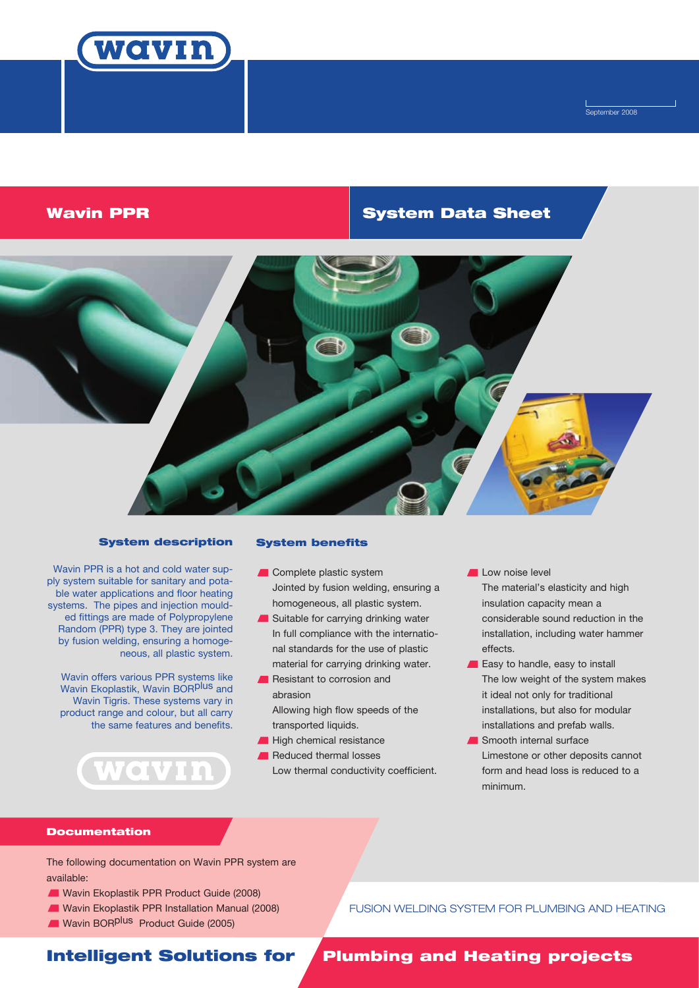

Í September 2008

# Wavin PPR **System Data Sheet**



# System description

Wavin PPR is a hot and cold water supply system suitable for sanitary and potable water applications and floor heating systems. The pipes and injection moulded fittings are made of Polypropylene Random (PPR) type 3. They are jointed by fusion welding, ensuring a homogeneous, all plastic system.

Wavin offers various PPR systems like Wavin Ekoplastik, Wavin BORPLUS and Wavin Tigris. These systems vary in product range and colour, but all carry the same features and benefits.

WOVIN

### System benefits

- Complete plastic system Jointed by fusion welding, ensuring a homogeneous, all plastic system.
- Suitable for carrying drinking water In full compliance with the international standards for the use of plastic material for carrying drinking water.
- **Resistant to corrosion and** abrasion Allowing high flow speeds of the
	- transported liquids.
- High chemical resistance
- Reduced thermal losses Low thermal conductivity coefficient.

Low noise level The material's elasticity and high insulation capacity mean a considerable sound reduction in the installation, including water hammer effects.

- Easy to handle, easy to install The low weight of the system makes it ideal not only for traditional installations, but also for modular installations and prefab walls.
- Smooth internal surface Limestone or other deposits cannot form and head loss is reduced to a minimum.

### **Documentation**

The following documentation on Wavin PPR system are available:

- Wavin Ekoplastik PPR Product Guide (2008)
- Wavin Ekoplastik PPR Installation Manual (2008)
- Wavin BOR<sup>plus</sup> Product Guide (2005)

FUSION WELDING SYSTEM FOR PLUMBING AND HEATING

# Intelligent Solutions for

# Plumbing and Heating projects